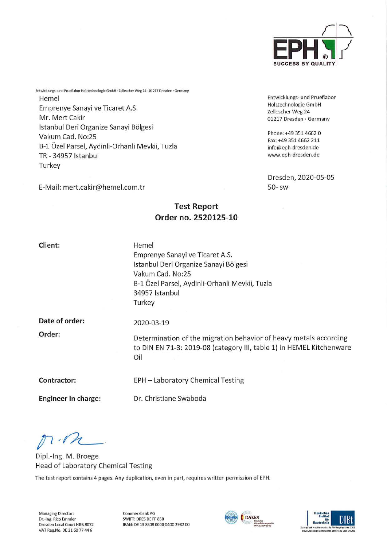

Entwicklungs- und Prueflabor Holztechnologie GmbH Zellescher Weg 24 01217 Dresden • Germany

Rhone: +49 351 4662 0 Fax:+49 3514662 211 info@eph-dresden.de www.eph-dresden.de

Dresden, 2020-05-05 50- sw

Entwicklungs- und Prueflabor Holztechnologie GmbH · Zellescher Weg 24 · 01217 Dresden · Germany Hemel Emprenye Sanayi ve Ticaret A.S. Mr. Mert Cakir Istanbul Deri Organize Sanayi Bölgesi Vakum Cad. No:25 B-1 Özel Parsel, Aydinli-Orhanli Mevkii, Tuzla TR-34957 Istanbul **Turkey** 

E-Mail: mert.cakir@hemel.com.tr

# Test Report Order no. 2520125-10

Client:

Hemel Emprenye Sanayi ve Ticaret A.S. Istanbul Deri Organize Sanayi Bölgesi Vakum Cad. No:25 B-l Özel Parsel, Aydinli-Orhanli Mevkii, Tuzla 34957 Istanbul **Turkey** 

Date of order:

2020-03-19

Oil

Order:

Determination of the migration behavior of heavy metals according to DIN EN 71-3: 2019-08 (category IN, table 1) in HEMEL Kitchenware

Contractor: EPH - Laboratory Chemical Testing

Engineer in Charge: Dr. Christiane Swaboda

 $n \cdot r$ 

Dipl.-Ing. M. Broege Head of Laboratory Chemical Testing

The fest report contains 4 pages. Any duplication, even in part, requires written permission of EPH.

Managing Director: Commerzbank AG Dr.-Ing. Rico Emmler SWIFT: DRES DE FF 850<br>Dresden Local Court HRB 8072 (BAN: DE 13 8508 0000 VAT Reg.No. DE 21 60 77 44 6

IBAN: DE 13 8508 0000 0400 2982 00



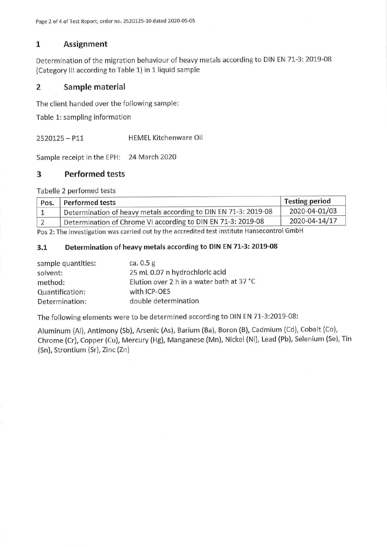## 1 Assignment

Determination of the migration behaviour of heavy metals according to DIN EN 71-3: 2019-08 (Category III according to Table 1) in 1 liquid sample

## 2 Sample material

The client handed over the following sample:

Table 1: sampling information

2520125-Pli HEMEL Kitchenware Oil

Sample receipt in the EPH: 24 March 2020

## 3 Performed tests

Tabelle 2 perfomed tests

| Pos.      | Performed tests                                                 | Testing period |
|-----------|-----------------------------------------------------------------|----------------|
|           | Determination of heavy metals according to DIN EN 71-3: 2019-08 | 2020-04-01/03  |
| $\vert$ 2 | Determination of Chrome VI according to DIN EN 71-3: 2019-08    | 2020-04-14/17  |

Pos 2: The investigation was carried out by the accredited test institute Hansecontrol GmbH

### 3.1 Determination of heavy metals according to DIN EN 71-3: 2019-08

| sample quantities: | ca. $0.5$ g                               |
|--------------------|-------------------------------------------|
| solvent:           | 25 mL 0.07 n hydrochloric acid            |
| method:            | Elution over 2 h in a water bath at 37 °C |
| Quantification:    | with ICP-OES                              |
| Determination:     | double determination                      |

The following elements were to be determined according to DIN EN 71-3:2019-08:

Aluminum (Al), Antimony (Sb), Arsenic (As), Barium (Ba), Boron (B), Cadmium (Cd), Cobalt (Co), Chrome (Cr), Copper (Cu), Mercury (Hg), Manganese (Mn), Nickel (Ni), Lead (Pb), Selenium (Se), Tin (Sn), Strontium (Sr), Zinc (Zn)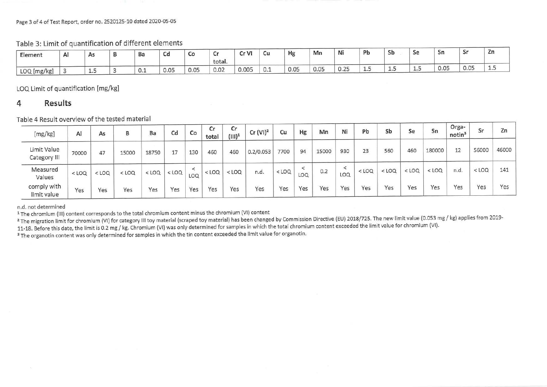#### Page 3 of 4 of Test Report, Order no. 2520125-10 dated 2020-05-05

Table 3: Limit of quantification of different elements

| Element                    | A <sub>1</sub> | As            | Ba  | Cd   | <b>CO</b> | r.<br>u<br>total. | Cr VI<br>u | Cu               | Hg   | Mn   | Ni           | Pb      | Sb   | Se  | Sn   | $S_{r}$<br>ັ<br>---- | Zn |
|----------------------------|----------------|---------------|-----|------|-----------|-------------------|------------|------------------|------|------|--------------|---------|------|-----|------|----------------------|----|
| $\Delta$ 1.<br>LOQ [mg/kg] |                | $\frac{1}{2}$ | 0.1 | 0.05 | 0.05      | 0.02              | 0.005      | $\sim$<br>$\sim$ | 0.05 | 0.05 | 0.25<br>U.LJ | <b></b> | ستشا | سىد | 0.05 | 0.05                 | سى |

LOQ. Limit of quantification [mg/kg]

#### 4 Results

Table 4 Result overview of the tested material

| [mg/kg]                     | Al      | As      | в       | Ba      | Cd      | Co             | Cr<br>total | Cr<br>$(III)^1$ | $Cr (VI)^2$ | Cu      | Hg  | Mn    | Ni       | Pb      | Sb      | Se      | Sn      | Orga-<br>notin <sup>3</sup> | Sr      | Zn    |
|-----------------------------|---------|---------|---------|---------|---------|----------------|-------------|-----------------|-------------|---------|-----|-------|----------|---------|---------|---------|---------|-----------------------------|---------|-------|
| Limit Value<br>Category III | 70000   | 47      | 15000   | 18750   | 17      | 130            | 460         | 460             | 0.2/0.053   | 7700    | 94  | 15000 | 930      | 23      | 560     | 460     | 180000  | 12                          | 56000   | 46000 |
| Measured<br>Values          | $<$ LOQ | $<$ LOQ | $<$ LOQ | $<$ LOQ | $<$ LOQ | $\prec$<br>LOQ | $<$ LOQ     | $<$ LOQ         | n.d.        | $<$ LOQ | LOQ | 0.2   | ↖<br>LOQ | $<$ LOQ | $<$ LOQ | $<$ LOQ | $<$ LOQ | n.d.                        | $<$ LOQ | 141   |
| comply with<br>limit value  | Yes     | Yes     | Yes     | Yes     | Yes     | Yes            | Yes         | Yes             | Yes         | Yes     | Yes | Yes   | Yes      | Yes     | Yes     | Yes     | Yes     | Yes                         | Yes     | Yes   |

n.d. not determined

<sup>1</sup> The chromium (III) content corresponds to the total chromium content minus the chromium (VI) content

<sup>2</sup> The migration limit for chromium (VI) for category III toy material (scraped toy material) has been changed by Commission Directive (EU) 2018/725. The new limit value (0.053 mg / kg) applies from 2019-

11-18. Before this date, the limit is 0.2 mg / kg. Chromium (VI) was only determined for samples in which the total chromium content exceeded the limit value for chromium (VI).

<sup>3</sup> The organotin content was only determined for samples in which the tin content exceeded the limit value for organotin.